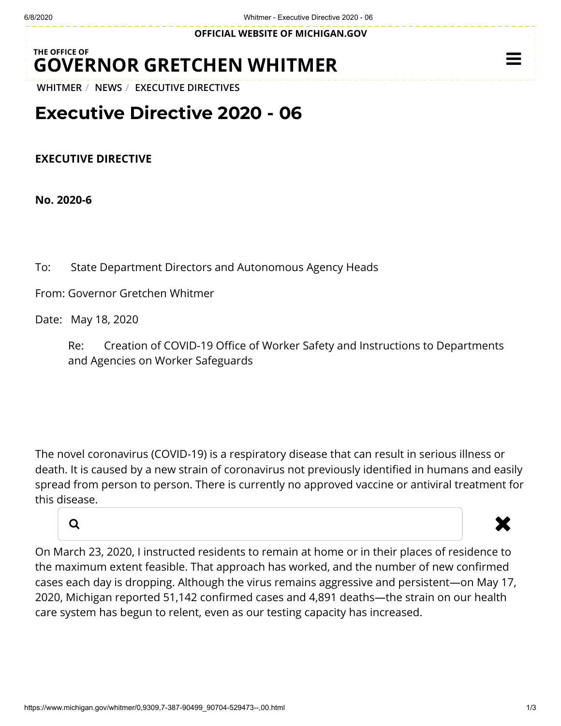**OFFICIAL WEBSITE OF [MICHIGAN.GOV](https://www.michigan.gov/)**

## **THE OFFICE OF GOVERNOR [GRETCHEN WHITMER](https://www.michigan.gov/whitmer/)**

**[WHITMER](https://www.michigan.gov/whitmer/)** / **[NEWS](https://www.michigan.gov/whitmer/0,9309,7-387-90499---,00.html)** / **[EXECUTIVE DIRECTIVES](https://www.michigan.gov/whitmer/0,9309,7-387-90499_90704---,00.html)**

## **Executive Directive 2020 - 06**

**EXECUTIVE DIRECTIVE**

**No. 2020-6**

To: State Department Directors and Autonomous Agency Heads

From: Governor Gretchen Whitmer

Date: May 18, 2020

Re: Creation of COVID-19 Office of Worker Safety and Instructions to Departments and Agencies on Worker Safeguards

The novel coronavirus (COVID-19) is a respiratory disease that can result in serious illness or death. It is caused by a new strain of coronavirus not previously identified in humans and easily spread from person to person. There is currently no approved vaccine or antiviral treatment for this disease.



## a and the set of the set of the set of the set of the set of the set of the set of the set of the set of the s

 $\equiv$ 

On March 23, 2020, I instructed residents to remain at home or in their places of residence to the maximum extent feasible. That approach has worked, and the number of new confirmed cases each day is dropping. Although the virus remains aggressive and persistent—on May 17, 2020, Michigan reported 51,142 confirmed cases and 4,891 deaths—the strain on our health care system has begun to relent, even as our testing capacity has increased.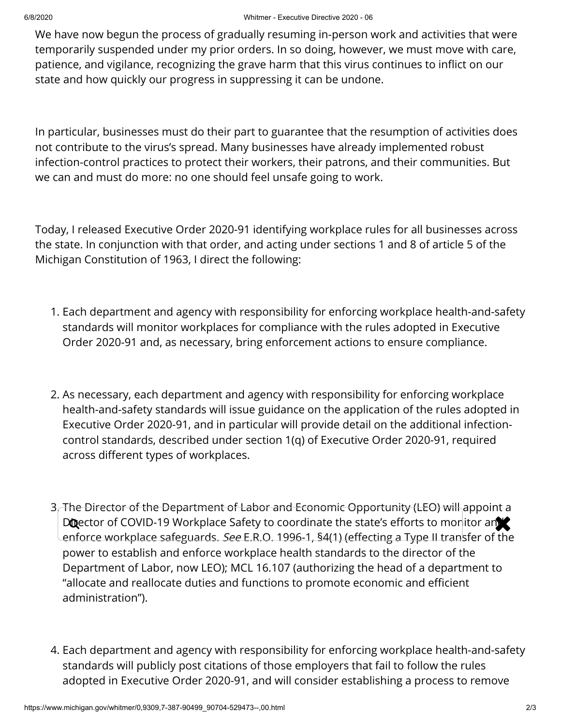We have now begun the process of gradually resuming in-person work and activities that were temporarily suspended under my prior orders. In so doing, however, we must move with care, patience, and vigilance, recognizing the grave harm that this virus continues to inflict on our state and how quickly our progress in suppressing it can be undone.

In particular, businesses must do their part to guarantee that the resumption of activities does not contribute to the virus's spread. Many businesses have already implemented robust infection-control practices to protect their workers, their patrons, and their communities. But we can and must do more: no one should feel unsafe going to work.

Today, I released Executive Order 2020-91 identifying workplace rules for all businesses across the state. In conjunction with that order, and acting under sections 1 and 8 of article 5 of the Michigan Constitution of 1963, I direct the following:

- 1. Each department and agency with responsibility for enforcing workplace health-and-safety standards will monitor workplaces for compliance with the rules adopted in Executive Order 2020-91 and, as necessary, bring enforcement actions to ensure compliance.
- 2. As necessary, each department and agency with responsibility for enforcing workplace health-and-safety standards will issue guidance on the application of the rules adopted in Executive Order 2020-91, and in particular will provide detail on the additional infectioncontrol standards, described under section 1(q) of Executive Order 2020-91, required across different types of workplaces.
- 3. The Director of the Department of Labor and Economic Opportunity (LEO) will appoint a Director of COVID-19 Workplace Safety to coordinate the state's efforts to monitor and enforce workplace safeguards. See E.R.O. 1996-1, §4(1) (effecting a Type II transfer of the power to establish and enforce workplace health standards to the director of the Department of Labor, now LEO); MCL 16.107 (authorizing the head of a department to "allocate and reallocate duties and functions to promote economic and efficient administration").
- 4. Each department and agency with responsibility for enforcing workplace health-and-safety standards will publicly post citations of those employers that fail to follow the rules adopted in Executive Order 2020-91, and will consider establishing a process to remove